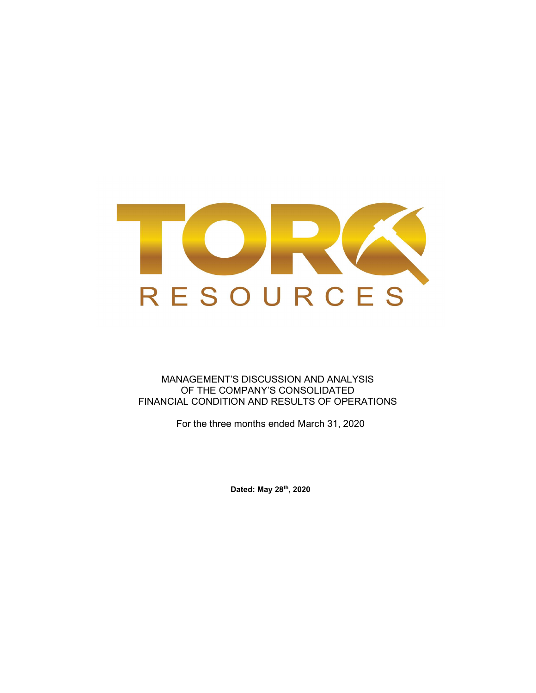

MANAGEMENT'S DISCUSSION AND ANALYSIS OF THE COMPANY'S CONSOLIDATED FINANCIAL CONDITION AND RESULTS OF OPERATIONS

For the three months ended March 31, 2020

Dated: May 28th, 2020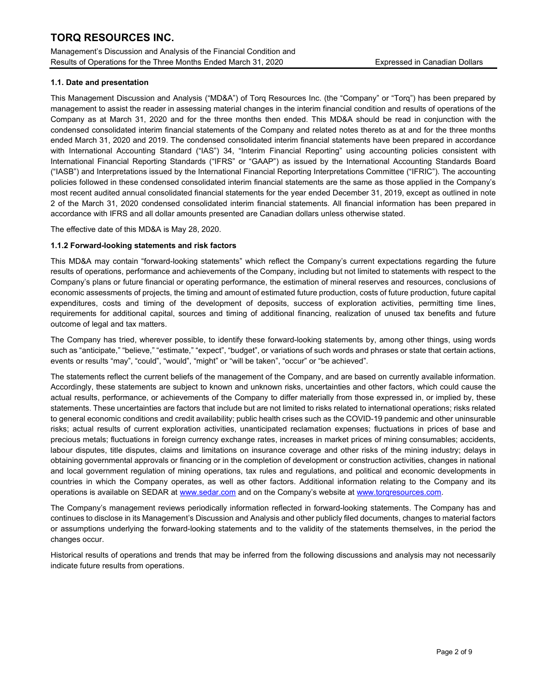Management's Discussion and Analysis of the Financial Condition and Results of Operations for the Three Months Ended March 31, 2020 Expressed in Canadian Dollars

## 1.1. Date and presentation

This Management Discussion and Analysis ("MD&A") of Torq Resources Inc. (the "Company" or "Torq") has been prepared by management to assist the reader in assessing material changes in the interim financial condition and results of operations of the Company as at March 31, 2020 and for the three months then ended. This MD&A should be read in conjunction with the condensed consolidated interim financial statements of the Company and related notes thereto as at and for the three months ended March 31, 2020 and 2019. The condensed consolidated interim financial statements have been prepared in accordance with International Accounting Standard ("IAS") 34, "Interim Financial Reporting" using accounting policies consistent with International Financial Reporting Standards ("IFRS" or "GAAP") as issued by the International Accounting Standards Board ("IASB") and Interpretations issued by the International Financial Reporting Interpretations Committee ("IFRIC"). The accounting policies followed in these condensed consolidated interim financial statements are the same as those applied in the Company's most recent audited annual consolidated financial statements for the year ended December 31, 2019, except as outlined in note 2 of the March 31, 2020 condensed consolidated interim financial statements. All financial information has been prepared in accordance with IFRS and all dollar amounts presented are Canadian dollars unless otherwise stated.

The effective date of this MD&A is May 28, 2020.

## 1.1.2 Forward-looking statements and risk factors

This MD&A may contain "forward-looking statements" which reflect the Company's current expectations regarding the future results of operations, performance and achievements of the Company, including but not limited to statements with respect to the Company's plans or future financial or operating performance, the estimation of mineral reserves and resources, conclusions of economic assessments of projects, the timing and amount of estimated future production, costs of future production, future capital expenditures, costs and timing of the development of deposits, success of exploration activities, permitting time lines, requirements for additional capital, sources and timing of additional financing, realization of unused tax benefits and future outcome of legal and tax matters.

The Company has tried, wherever possible, to identify these forward-looking statements by, among other things, using words such as "anticipate," "believe," "estimate," "expect", "budget", or variations of such words and phrases or state that certain actions, events or results "may", "could", "would", "might" or "will be taken", "occur" or "be achieved".

The statements reflect the current beliefs of the management of the Company, and are based on currently available information. Accordingly, these statements are subject to known and unknown risks, uncertainties and other factors, which could cause the actual results, performance, or achievements of the Company to differ materially from those expressed in, or implied by, these statements. These uncertainties are factors that include but are not limited to risks related to international operations; risks related to general economic conditions and credit availability; public health crises such as the COVID-19 pandemic and other uninsurable risks; actual results of current exploration activities, unanticipated reclamation expenses; fluctuations in prices of base and precious metals; fluctuations in foreign currency exchange rates, increases in market prices of mining consumables; accidents, labour disputes, title disputes, claims and limitations on insurance coverage and other risks of the mining industry; delays in obtaining governmental approvals or financing or in the completion of development or construction activities, changes in national and local government regulation of mining operations, tax rules and regulations, and political and economic developments in countries in which the Company operates, as well as other factors. Additional information relating to the Company and its operations is available on SEDAR at www.sedar.com and on the Company's website at www.torqresources.com.

The Company's management reviews periodically information reflected in forward-looking statements. The Company has and continues to disclose in its Management's Discussion and Analysis and other publicly filed documents, changes to material factors or assumptions underlying the forward-looking statements and to the validity of the statements themselves, in the period the changes occur.

Historical results of operations and trends that may be inferred from the following discussions and analysis may not necessarily indicate future results from operations.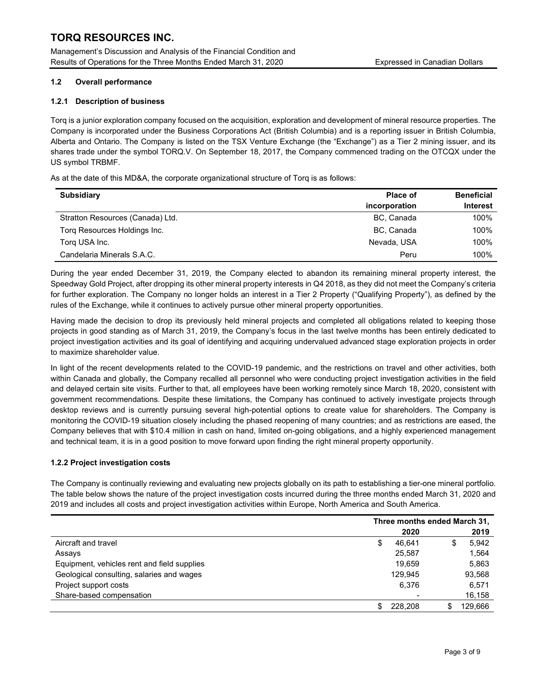Management's Discussion and Analysis of the Financial Condition and Results of Operations for the Three Months Ended March 31, 2020 Expressed in Canadian Dollars

## 1.2 Overall performance

## 1.2.1 Description of business

Torq is a junior exploration company focused on the acquisition, exploration and development of mineral resource properties. The Company is incorporated under the Business Corporations Act (British Columbia) and is a reporting issuer in British Columbia, Alberta and Ontario. The Company is listed on the TSX Venture Exchange (the "Exchange") as a Tier 2 mining issuer, and its shares trade under the symbol TORQ.V. On September 18, 2017, the Company commenced trading on the OTCQX under the US symbol TRBMF.

As at the date of this MD&A, the corporate organizational structure of Torq is as follows:

| <b>Subsidiary</b>                | <b>Place of</b><br>incorporation | <b>Beneficial</b><br><b>Interest</b> |
|----------------------------------|----------------------------------|--------------------------------------|
| Stratton Resources (Canada) Ltd. | BC, Canada                       | 100%                                 |
| Torg Resources Holdings Inc.     | BC, Canada                       | 100%                                 |
| Torg USA Inc.                    | Nevada, USA                      | 100%                                 |
| Candelaria Minerals S.A.C.       | Peru                             | 100%                                 |

During the year ended December 31, 2019, the Company elected to abandon its remaining mineral property interest, the Speedway Gold Project, after dropping its other mineral property interests in Q4 2018, as they did not meet the Company's criteria for further exploration. The Company no longer holds an interest in a Tier 2 Property ("Qualifying Property"), as defined by the rules of the Exchange, while it continues to actively pursue other mineral property opportunities.

Having made the decision to drop its previously held mineral projects and completed all obligations related to keeping those projects in good standing as of March 31, 2019, the Company's focus in the last twelve months has been entirely dedicated to project investigation activities and its goal of identifying and acquiring undervalued advanced stage exploration projects in order to maximize shareholder value.

In light of the recent developments related to the COVID-19 pandemic, and the restrictions on travel and other activities, both within Canada and globally, the Company recalled all personnel who were conducting project investigation activities in the field and delayed certain site visits. Further to that, all employees have been working remotely since March 18, 2020, consistent with government recommendations. Despite these limitations, the Company has continued to actively investigate projects through desktop reviews and is currently pursuing several high-potential options to create value for shareholders. The Company is monitoring the COVID-19 situation closely including the phased reopening of many countries; and as restrictions are eased, the Company believes that with \$10.4 million in cash on hand, limited on-going obligations, and a highly experienced management and technical team, it is in a good position to move forward upon finding the right mineral property opportunity.

## 1.2.2 Project investigation costs

The Company is continually reviewing and evaluating new projects globally on its path to establishing a tier-one mineral portfolio. The table below shows the nature of the project investigation costs incurred during the three months ended March 31, 2020 and 2019 and includes all costs and project investigation activities within Europe, North America and South America.

|                                             | Three months ended March 31, |         |   |         |
|---------------------------------------------|------------------------------|---------|---|---------|
|                                             |                              | 2020    |   | 2019    |
| Aircraft and travel                         | \$                           | 46.641  | S | 5,942   |
| Assays                                      |                              | 25.587  |   | 1.564   |
| Equipment, vehicles rent and field supplies |                              | 19.659  |   | 5,863   |
| Geological consulting, salaries and wages   |                              | 129.945 |   | 93,568  |
| Project support costs                       |                              | 6.376   |   | 6,571   |
| Share-based compensation                    |                              |         |   | 16,158  |
|                                             |                              | 228,208 |   | 129.666 |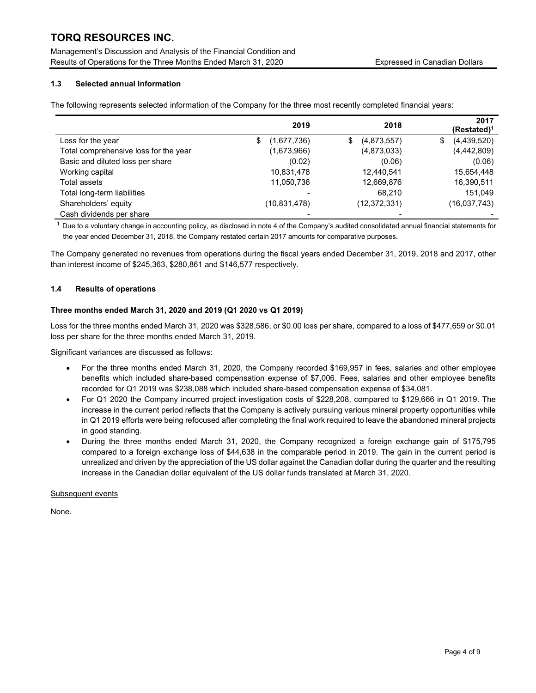Management's Discussion and Analysis of the Financial Condition and Results of Operations for the Three Months Ended March 31, 2020 Expressed in Canadian Dollars

## 1.3 Selected annual information

The following represents selected information of the Company for the three most recently completed financial years:

|                                       | 2019              | 2018              | 2017<br>$(Restated)^1$ |
|---------------------------------------|-------------------|-------------------|------------------------|
| Loss for the year                     | \$<br>(1,677,736) | \$<br>(4,873,557) | \$<br>(4,439,520)      |
| Total comprehensive loss for the year | (1,673,966)       | (4,873,033)       | (4,442,809)            |
| Basic and diluted loss per share      | (0.02)            | (0.06)            | (0.06)                 |
| Working capital                       | 10,831,478        | 12,440,541        | 15,654,448             |
| Total assets                          | 11,050,736        | 12,669,876        | 16,390,511             |
| Total long-term liabilities           |                   | 68.210            | 151.049                |
| Shareholders' equity                  | (10, 831, 478)    | (12, 372, 331)    | (16,037,743)           |
| Cash dividends per share              |                   |                   |                        |

 $1$  Due to a voluntary change in accounting policy, as disclosed in note 4 of the Company's audited consolidated annual financial statements for the year ended December 31, 2018, the Company restated certain 2017 amounts for comparative purposes.

The Company generated no revenues from operations during the fiscal years ended December 31, 2019, 2018 and 2017, other than interest income of \$245,363, \$280,861 and \$146,577 respectively.

## 1.4 Results of operations

#### Three months ended March 31, 2020 and 2019 (Q1 2020 vs Q1 2019)

Loss for the three months ended March 31, 2020 was \$328,586, or \$0.00 loss per share, compared to a loss of \$477,659 or \$0.01 loss per share for the three months ended March 31, 2019.

Significant variances are discussed as follows:

- For the three months ended March 31, 2020, the Company recorded \$169,957 in fees, salaries and other employee benefits which included share-based compensation expense of \$7,006. Fees, salaries and other employee benefits recorded for Q1 2019 was \$238,088 which included share-based compensation expense of \$34,081.
- For Q1 2020 the Company incurred project investigation costs of \$228,208, compared to \$129,666 in Q1 2019. The increase in the current period reflects that the Company is actively pursuing various mineral property opportunities while in Q1 2019 efforts were being refocused after completing the final work required to leave the abandoned mineral projects in good standing.
- During the three months ended March 31, 2020, the Company recognized a foreign exchange gain of \$175,795 compared to a foreign exchange loss of \$44,638 in the comparable period in 2019. The gain in the current period is unrealized and driven by the appreciation of the US dollar against the Canadian dollar during the quarter and the resulting increase in the Canadian dollar equivalent of the US dollar funds translated at March 31, 2020.

#### Subsequent events

None.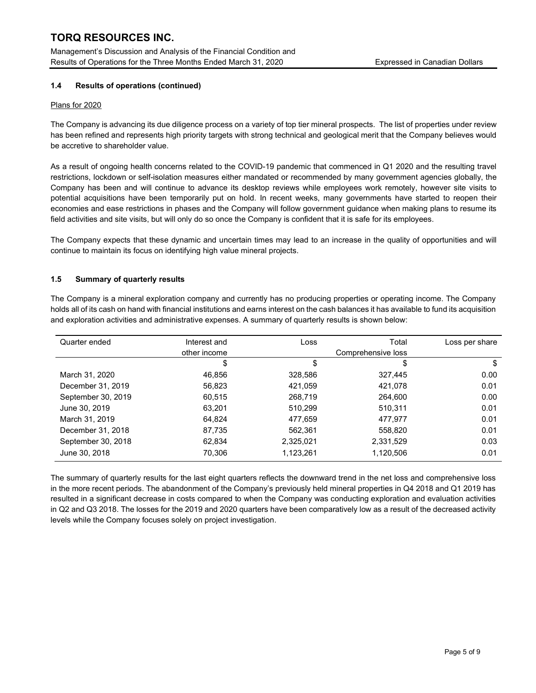Management's Discussion and Analysis of the Financial Condition and Results of Operations for the Three Months Ended March 31, 2020 Expressed in Canadian Dollars

## 1.4 Results of operations (continued)

#### Plans for 2020

The Company is advancing its due diligence process on a variety of top tier mineral prospects. The list of properties under review has been refined and represents high priority targets with strong technical and geological merit that the Company believes would be accretive to shareholder value.

As a result of ongoing health concerns related to the COVID-19 pandemic that commenced in Q1 2020 and the resulting travel restrictions, lockdown or self-isolation measures either mandated or recommended by many government agencies globally, the Company has been and will continue to advance its desktop reviews while employees work remotely, however site visits to potential acquisitions have been temporarily put on hold. In recent weeks, many governments have started to reopen their economies and ease restrictions in phases and the Company will follow government guidance when making plans to resume its field activities and site visits, but will only do so once the Company is confident that it is safe for its employees.

The Company expects that these dynamic and uncertain times may lead to an increase in the quality of opportunities and will continue to maintain its focus on identifying high value mineral projects.

## 1.5 Summary of quarterly results

The Company is a mineral exploration company and currently has no producing properties or operating income. The Company holds all of its cash on hand with financial institutions and earns interest on the cash balances it has available to fund its acquisition and exploration activities and administrative expenses. A summary of quarterly results is shown below:

| Quarter ended      | Interest and | Loss               | Total     | Loss per share |
|--------------------|--------------|--------------------|-----------|----------------|
|                    | other income | Comprehensive loss |           |                |
|                    | \$           | \$                 | \$        | \$             |
| March 31, 2020     | 46.856       | 328,586            | 327,445   | 0.00           |
| December 31, 2019  | 56,823       | 421,059            | 421,078   | 0.01           |
| September 30, 2019 | 60.515       | 268,719            | 264,600   | 0.00           |
| June 30, 2019      | 63.201       | 510,299            | 510,311   | 0.01           |
| March 31, 2019     | 64.824       | 477,659            | 477,977   | 0.01           |
| December 31, 2018  | 87,735       | 562,361            | 558,820   | 0.01           |
| September 30, 2018 | 62.834       | 2,325,021          | 2,331,529 | 0.03           |
| June 30, 2018      | 70.306       | 1,123,261          | 1,120,506 | 0.01           |

The summary of quarterly results for the last eight quarters reflects the downward trend in the net loss and comprehensive loss in the more recent periods. The abandonment of the Company's previously held mineral properties in Q4 2018 and Q1 2019 has resulted in a significant decrease in costs compared to when the Company was conducting exploration and evaluation activities in Q2 and Q3 2018. The losses for the 2019 and 2020 quarters have been comparatively low as a result of the decreased activity levels while the Company focuses solely on project investigation.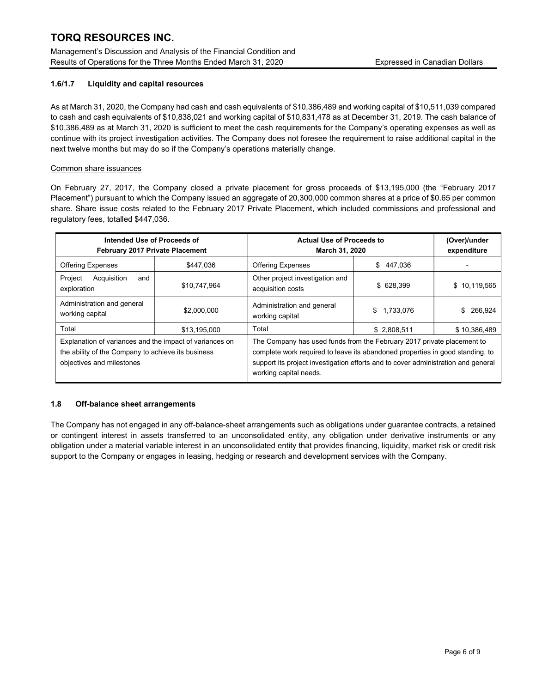Management's Discussion and Analysis of the Financial Condition and Results of Operations for the Three Months Ended March 31, 2020 Expressed in Canadian Dollars

## 1.6/1.7 Liquidity and capital resources

As at March 31, 2020, the Company had cash and cash equivalents of \$10,386,489 and working capital of \$10,511,039 compared to cash and cash equivalents of \$10,838,021 and working capital of \$10,831,478 as at December 31, 2019. The cash balance of \$10,386,489 as at March 31, 2020 is sufficient to meet the cash requirements for the Company's operating expenses as well as continue with its project investigation activities. The Company does not foresee the requirement to raise additional capital in the next twelve months but may do so if the Company's operations materially change.

## Common share issuances

On February 27, 2017, the Company closed a private placement for gross proceeds of \$13,195,000 (the "February 2017 Placement") pursuant to which the Company issued an aggregate of 20,300,000 common shares at a price of \$0.65 per common share. Share issue costs related to the February 2017 Private Placement, which included commissions and professional and regulatory fees, totalled \$447,036.

| Intended Use of Proceeds of<br><b>February 2017 Private Placement</b>                                                                      |                                                                                                                                                                                                                                                                        | <b>Actual Use of Proceeds to</b><br><b>March 31, 2020</b> |                 | (Over)/under<br>expenditure |  |
|--------------------------------------------------------------------------------------------------------------------------------------------|------------------------------------------------------------------------------------------------------------------------------------------------------------------------------------------------------------------------------------------------------------------------|-----------------------------------------------------------|-----------------|-----------------------------|--|
| <b>Offering Expenses</b>                                                                                                                   | \$447.036                                                                                                                                                                                                                                                              | <b>Offering Expenses</b>                                  | \$<br>447.036   |                             |  |
| Project<br>Acquisition<br>and<br>exploration                                                                                               | \$10,747,964                                                                                                                                                                                                                                                           | Other project investigation and<br>acquisition costs      | \$ 628,399      | \$10,119,565                |  |
| Administration and general<br>working capital                                                                                              | \$2,000,000                                                                                                                                                                                                                                                            | Administration and general<br>working capital             | 1.733.076<br>\$ | 266.924<br>S                |  |
| Total                                                                                                                                      | \$13,195,000                                                                                                                                                                                                                                                           | Total                                                     | \$2,808,511     | \$10,386,489                |  |
| Explanation of variances and the impact of variances on<br>the ability of the Company to achieve its business<br>objectives and milestones | The Company has used funds from the February 2017 private placement to<br>complete work required to leave its abandoned properties in good standing, to<br>support its project investigation efforts and to cover administration and general<br>working capital needs. |                                                           |                 |                             |  |

## 1.8 Off-balance sheet arrangements

The Company has not engaged in any off-balance-sheet arrangements such as obligations under guarantee contracts, a retained or contingent interest in assets transferred to an unconsolidated entity, any obligation under derivative instruments or any obligation under a material variable interest in an unconsolidated entity that provides financing, liquidity, market risk or credit risk support to the Company or engages in leasing, hedging or research and development services with the Company.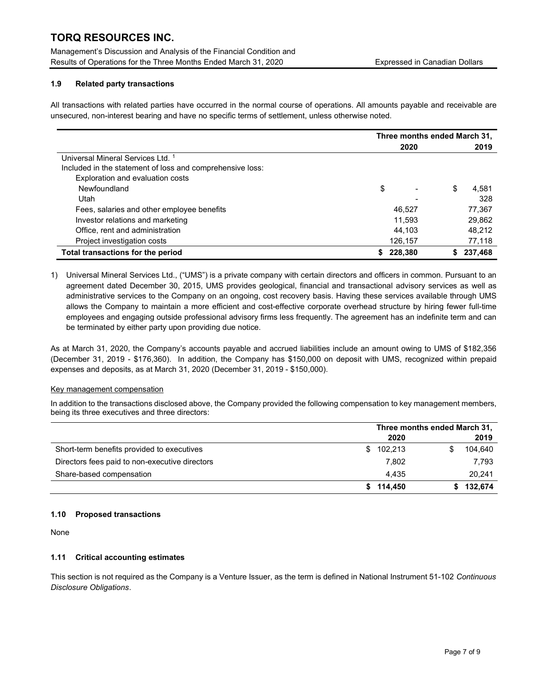Management's Discussion and Analysis of the Financial Condition and Results of Operations for the Three Months Ended March 31, 2020 Expressed in Canadian Dollars

## 1.9 Related party transactions

All transactions with related parties have occurred in the normal course of operations. All amounts payable and receivable are unsecured, non-interest bearing and have no specific terms of settlement, unless otherwise noted.

|                                                           | Three months ended March 31, |             |  |
|-----------------------------------------------------------|------------------------------|-------------|--|
|                                                           | 2020                         | 2019        |  |
| Universal Mineral Services Ltd. 1                         |                              |             |  |
| Included in the statement of loss and comprehensive loss: |                              |             |  |
| Exploration and evaluation costs                          |                              |             |  |
| Newfoundland                                              | \$                           | \$<br>4.581 |  |
| Utah                                                      |                              | 328         |  |
| Fees, salaries and other employee benefits                | 46.527                       | 77,367      |  |
| Investor relations and marketing                          | 11.593                       | 29,862      |  |
| Office, rent and administration                           | 44.103                       | 48.212      |  |
| Project investigation costs                               | 126,157                      | 77,118      |  |
| Total transactions for the period                         | 228,380                      | 237,468     |  |

1) Universal Mineral Services Ltd., ("UMS") is a private company with certain directors and officers in common. Pursuant to an agreement dated December 30, 2015, UMS provides geological, financial and transactional advisory services as well as administrative services to the Company on an ongoing, cost recovery basis. Having these services available through UMS allows the Company to maintain a more efficient and cost-effective corporate overhead structure by hiring fewer full-time employees and engaging outside professional advisory firms less frequently. The agreement has an indefinite term and can be terminated by either party upon providing due notice.

As at March 31, 2020, the Company's accounts payable and accrued liabilities include an amount owing to UMS of \$182,356 (December 31, 2019 - \$176,360). In addition, the Company has \$150,000 on deposit with UMS, recognized within prepaid expenses and deposits, as at March 31, 2020 (December 31, 2019 - \$150,000).

## Key management compensation

In addition to the transactions disclosed above, the Company provided the following compensation to key management members, being its three executives and three directors:

|                                                | Three months ended March 31, |           |  |
|------------------------------------------------|------------------------------|-----------|--|
|                                                | 2020                         | 2019      |  |
| Short-term benefits provided to executives     | 102,213<br>\$.               | 104,640   |  |
| Directors fees paid to non-executive directors | 7.802                        | 7.793     |  |
| Share-based compensation                       | 4.435                        | 20,241    |  |
|                                                | \$114.450                    | \$132,674 |  |

## 1.10 Proposed transactions

None

## 1.11 Critical accounting estimates

This section is not required as the Company is a Venture Issuer, as the term is defined in National Instrument 51-102 Continuous Disclosure Obligations.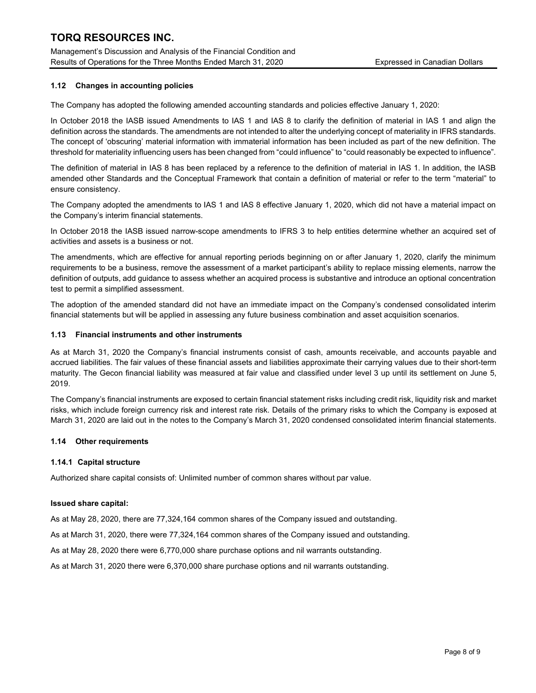Management's Discussion and Analysis of the Financial Condition and Results of Operations for the Three Months Ended March 31, 2020 Expressed in Canadian Dollars

## 1.12 Changes in accounting policies

The Company has adopted the following amended accounting standards and policies effective January 1, 2020:

In October 2018 the IASB issued Amendments to IAS 1 and IAS 8 to clarify the definition of material in IAS 1 and align the definition across the standards. The amendments are not intended to alter the underlying concept of materiality in IFRS standards. The concept of 'obscuring' material information with immaterial information has been included as part of the new definition. The threshold for materiality influencing users has been changed from "could influence" to "could reasonably be expected to influence".

The definition of material in IAS 8 has been replaced by a reference to the definition of material in IAS 1. In addition, the IASB amended other Standards and the Conceptual Framework that contain a definition of material or refer to the term "material" to ensure consistency.

The Company adopted the amendments to IAS 1 and IAS 8 effective January 1, 2020, which did not have a material impact on the Company's interim financial statements.

In October 2018 the IASB issued narrow-scope amendments to IFRS 3 to help entities determine whether an acquired set of activities and assets is a business or not.

The amendments, which are effective for annual reporting periods beginning on or after January 1, 2020, clarify the minimum requirements to be a business, remove the assessment of a market participant's ability to replace missing elements, narrow the definition of outputs, add guidance to assess whether an acquired process is substantive and introduce an optional concentration test to permit a simplified assessment.

The adoption of the amended standard did not have an immediate impact on the Company's condensed consolidated interim financial statements but will be applied in assessing any future business combination and asset acquisition scenarios.

#### 1.13 Financial instruments and other instruments

As at March 31, 2020 the Company's financial instruments consist of cash, amounts receivable, and accounts payable and accrued liabilities. The fair values of these financial assets and liabilities approximate their carrying values due to their short-term maturity. The Gecon financial liability was measured at fair value and classified under level 3 up until its settlement on June 5, 2019.

The Company's financial instruments are exposed to certain financial statement risks including credit risk, liquidity risk and market risks, which include foreign currency risk and interest rate risk. Details of the primary risks to which the Company is exposed at March 31, 2020 are laid out in the notes to the Company's March 31, 2020 condensed consolidated interim financial statements.

## 1.14 Other requirements

## 1.14.1 Capital structure

Authorized share capital consists of: Unlimited number of common shares without par value.

#### Issued share capital:

As at May 28, 2020, there are 77,324,164 common shares of the Company issued and outstanding.

As at March 31, 2020, there were 77,324,164 common shares of the Company issued and outstanding.

As at May 28, 2020 there were 6,770,000 share purchase options and nil warrants outstanding.

As at March 31, 2020 there were 6,370,000 share purchase options and nil warrants outstanding.